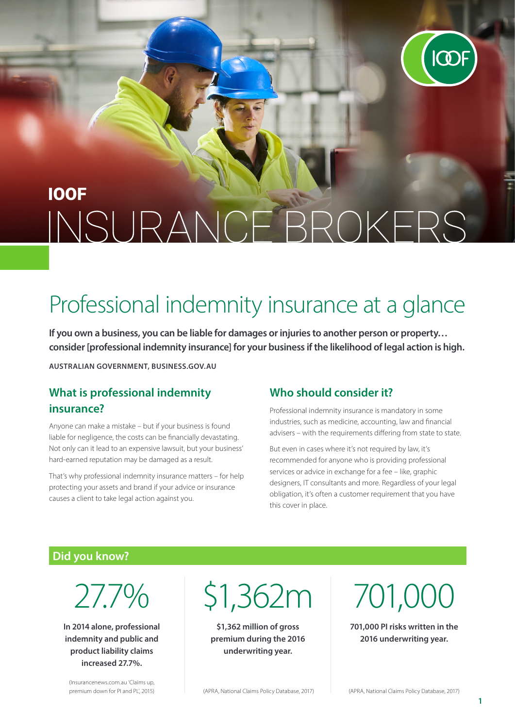

# **IOOF** INSURANCE BROKERS

# Professional indemnity insurance at a glance

**If you own a business, you can be liable for damages or injuries to another person or property… consider [professional indemnity insurance] for your business if the likelihood of legal action is high.**

**AUSTRALIAN GOVERNMENT, BUSINESS.GOV.AU**

#### **What is professional indemnity insurance?**

Anyone can make a mistake – but if your business is found liable for negligence, the costs can be financially devastating. Not only can it lead to an expensive lawsuit, but your business' hard-earned reputation may be damaged as a result.

That's why professional indemnity insurance matters – for help protecting your assets and brand if your advice or insurance causes a client to take legal action against you.

#### **Who should consider it?**

Professional indemnity insurance is mandatory in some industries, such as medicine, accounting, law and financial advisers – with the requirements differing from state to state.

But even in cases where it's not required by law, it's recommended for anyone who is providing professional services or advice in exchange for a fee – like, graphic designers, IT consultants and more. Regardless of your legal obligation, it's often a customer requirement that you have this cover in place.

#### **Did you know?**

27.7%

**In 2014 alone, professional indemnity and public and product liability claims increased 27.7%.**

\$1,362m

**\$1,362 million of gross premium during the 2016 underwriting year.**

701,000

**701,000 PI risks written in the 2016 underwriting year.**